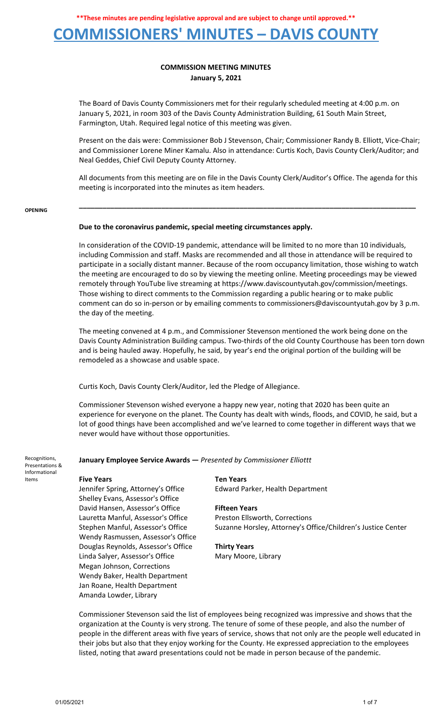## **COMMISSIONERS' MINUTES – DAVIS COUNTY**

### **COMMISSION MEETING MINUTES January 5, 2021**

The Board of Davis County Commissioners met for their regularly scheduled meeting at 4:00 p.m. on January 5, 2021, in room 303 of the Davis County Administration Building, 61 South Main Street, Farmington, Utah. Required legal notice of this meeting was given.

Present on the dais were: Commissioner Bob J Stevenson, Chair; Commissioner Randy B. Elliott, Vice-Chair; and Commissioner Lorene Miner Kamalu. Also in attendance: Curtis Koch, Davis County Clerk/Auditor; and Neal Geddes, Chief Civil Deputy County Attorney.

All documents from this meeting are on file in the Davis County Clerk/Auditor's Office. The agenda for this meeting is incorporated into the minutes as item headers.

**\_\_\_\_\_\_\_\_\_\_\_\_\_\_\_\_\_\_\_\_\_\_\_\_\_\_\_\_\_\_\_\_\_\_\_\_\_\_\_\_\_\_\_\_\_\_\_\_\_\_\_\_\_\_\_\_\_\_\_\_\_\_\_\_\_\_\_\_\_\_\_\_\_\_\_\_\_\_\_\_\_\_\_\_\_\_**

#### **OPENING**

### **Due to the coronavirus pandemic, special meeting circumstances apply.**

In consideration of the COVID-19 pandemic, attendance will be limited to no more than 10 individuals, including Commission and staff. Masks are recommended and all those in attendance will be required to participate in a socially distant manner. Because of the room occupancy limitation, those wishing to watch the meeting are encouraged to do so by viewing the meeting online. Meeting proceedings may be viewed remotely through YouTube live streaming at https://www.daviscountyutah.gov/commission/meetings. Those wishing to direct comments to the Commission regarding a public hearing or to make public comment can do so in-person or by emailing comments to commissioners@daviscountyutah.gov by 3 p.m. the day of the meeting.

The meeting convened at 4 p.m., and Commissioner Stevenson mentioned the work being done on the Davis County Administration Building campus. Two-thirds of the old County Courthouse has been torn down and is being hauled away. Hopefully, he said, by year's end the original portion of the building will be remodeled as a showcase and usable space.

Curtis Koch, Davis County Clerk/Auditor, led the Pledge of Allegiance.

Commissioner Stevenson wished everyone a happy new year, noting that 2020 has been quite an experience for everyone on the planet. The County has dealt with winds, floods, and COVID, he said, but a lot of good things have been accomplished and we've learned to come together in different ways that we never would have without those opportunities.

Recognitions, Presentations & Informational Items

### **January Employee Service Awards —** *Presented by Commissioner Elliottt*

Jennifer Spring, Attorney's Office Furth Realth Department Shelley Evans, Assessor's Office David Hansen, Assessor's Office **Fifteen Years** Lauretta Manful, Assessor's Office Preston Ellsworth, Corrections Wendy Rasmussen, Assessor's Office Douglas Reynolds, Assessor's Office **Thirty Years** Linda Salyer, Assessor's Office Mary Moore, Library Megan Johnson, Corrections Wendy Baker, Health Department Jan Roane, Health Department Amanda Lowder, Library

**Five Years Ten Years**

Stephen Manful, Assessor's Office Suzanne Horsley, Attorney's Office/Children's Justice Center

Commissioner Stevenson said the list of employees being recognized was impressive and shows that the organization at the County is very strong. The tenure of some of these people, and also the number of people in the different areas with five years of service, shows that not only are the people well educated in their jobs but also that they enjoy working for the County. He expressed appreciation to the employees listed, noting that award presentations could not be made in person because of the pandemic.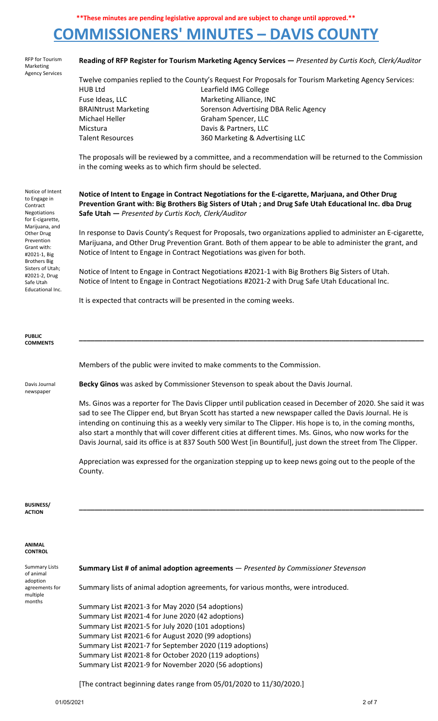# **COMMISSIONERS' MINUTES – DAVIS COUNTY**

|                                                                                                                                                                                                                                                                                                                                                                                                                                                                                                                                                                        | Reading of RFP Register for Tourism Marketing Agency Services - Presented by Curtis Koch, Clerk/Auditor      |  |  |  |  |  |
|------------------------------------------------------------------------------------------------------------------------------------------------------------------------------------------------------------------------------------------------------------------------------------------------------------------------------------------------------------------------------------------------------------------------------------------------------------------------------------------------------------------------------------------------------------------------|--------------------------------------------------------------------------------------------------------------|--|--|--|--|--|
|                                                                                                                                                                                                                                                                                                                                                                                                                                                                                                                                                                        |                                                                                                              |  |  |  |  |  |
| Twelve companies replied to the County's Request For Proposals for Tourism Marketing Agency Services:                                                                                                                                                                                                                                                                                                                                                                                                                                                                  |                                                                                                              |  |  |  |  |  |
| <b>HUB Ltd</b>                                                                                                                                                                                                                                                                                                                                                                                                                                                                                                                                                         | Learfield IMG College                                                                                        |  |  |  |  |  |
|                                                                                                                                                                                                                                                                                                                                                                                                                                                                                                                                                                        | Marketing Alliance, INC                                                                                      |  |  |  |  |  |
|                                                                                                                                                                                                                                                                                                                                                                                                                                                                                                                                                                        | Sorenson Advertising DBA Relic Agency                                                                        |  |  |  |  |  |
|                                                                                                                                                                                                                                                                                                                                                                                                                                                                                                                                                                        | Graham Spencer, LLC                                                                                          |  |  |  |  |  |
|                                                                                                                                                                                                                                                                                                                                                                                                                                                                                                                                                                        | Davis & Partners, LLC                                                                                        |  |  |  |  |  |
|                                                                                                                                                                                                                                                                                                                                                                                                                                                                                                                                                                        |                                                                                                              |  |  |  |  |  |
|                                                                                                                                                                                                                                                                                                                                                                                                                                                                                                                                                                        | 360 Marketing & Advertising LLC                                                                              |  |  |  |  |  |
| The proposals will be reviewed by a committee, and a recommendation will be returned to the Commission<br>in the coming weeks as to which firm should be selected.                                                                                                                                                                                                                                                                                                                                                                                                     |                                                                                                              |  |  |  |  |  |
| Notice of Intent to Engage in Contract Negotiations for the E-cigarette, Marjuana, and Other Drug<br>Prevention Grant with: Big Brothers Big Sisters of Utah ; and Drug Safe Utah Educational Inc. dba Drug<br>Safe Utah - Presented by Curtis Koch, Clerk/Auditor                                                                                                                                                                                                                                                                                                     |                                                                                                              |  |  |  |  |  |
|                                                                                                                                                                                                                                                                                                                                                                                                                                                                                                                                                                        | In response to Davis County's Request for Proposals, two organizations applied to administer an E-cigarette, |  |  |  |  |  |
| Marijuana, and Other Drug Prevention Grant. Both of them appear to be able to administer the grant, and<br>Notice of Intent to Engage in Contract Negotiations was given for both.                                                                                                                                                                                                                                                                                                                                                                                     |                                                                                                              |  |  |  |  |  |
| Notice of Intent to Engage in Contract Negotiations #2021-1 with Big Brothers Big Sisters of Utah.<br>Notice of Intent to Engage in Contract Negotiations #2021-2 with Drug Safe Utah Educational Inc.                                                                                                                                                                                                                                                                                                                                                                 |                                                                                                              |  |  |  |  |  |
| It is expected that contracts will be presented in the coming weeks.                                                                                                                                                                                                                                                                                                                                                                                                                                                                                                   |                                                                                                              |  |  |  |  |  |
|                                                                                                                                                                                                                                                                                                                                                                                                                                                                                                                                                                        |                                                                                                              |  |  |  |  |  |
|                                                                                                                                                                                                                                                                                                                                                                                                                                                                                                                                                                        |                                                                                                              |  |  |  |  |  |
|                                                                                                                                                                                                                                                                                                                                                                                                                                                                                                                                                                        | Members of the public were invited to make comments to the Commission.                                       |  |  |  |  |  |
|                                                                                                                                                                                                                                                                                                                                                                                                                                                                                                                                                                        | Becky Ginos was asked by Commissioner Stevenson to speak about the Davis Journal.                            |  |  |  |  |  |
| Ms. Ginos was a reporter for The Davis Clipper until publication ceased in December of 2020. She said it was<br>sad to see The Clipper end, but Bryan Scott has started a new newspaper called the Davis Journal. He is<br>intending on continuing this as a weekly very similar to The Clipper. His hope is to, in the coming months,<br>also start a monthly that will cover different cities at different times. Ms. Ginos, who now works for the<br>Davis Journal, said its office is at 837 South 500 West [in Bountiful], just down the street from The Clipper. |                                                                                                              |  |  |  |  |  |
| County.                                                                                                                                                                                                                                                                                                                                                                                                                                                                                                                                                                | Appreciation was expressed for the organization stepping up to keep news going out to the people of the      |  |  |  |  |  |
|                                                                                                                                                                                                                                                                                                                                                                                                                                                                                                                                                                        |                                                                                                              |  |  |  |  |  |
|                                                                                                                                                                                                                                                                                                                                                                                                                                                                                                                                                                        |                                                                                                              |  |  |  |  |  |
|                                                                                                                                                                                                                                                                                                                                                                                                                                                                                                                                                                        |                                                                                                              |  |  |  |  |  |
|                                                                                                                                                                                                                                                                                                                                                                                                                                                                                                                                                                        | <b>Summary List # of animal adoption agreements</b> - Presented by Commissioner Stevenson                    |  |  |  |  |  |
|                                                                                                                                                                                                                                                                                                                                                                                                                                                                                                                                                                        | Summary lists of animal adoption agreements, for various months, were introduced.                            |  |  |  |  |  |
| Summary List #2021-3 for May 2020 (54 adoptions)<br>(42.8)                                                                                                                                                                                                                                                                                                                                                                                                                                                                                                             |                                                                                                              |  |  |  |  |  |
|                                                                                                                                                                                                                                                                                                                                                                                                                                                                                                                                                                        | Fuse Ideas, LLC<br><b>BRAINtrust Marketing</b><br>Michael Heller<br>Micstura<br><b>Talent Resources</b>      |  |  |  |  |  |

Summary List #2021-4 for June 2020 (42 adoptions) Summary List #2021-5 for July 2020 (101 adoptions) Summary List #2021-6 for August 2020 (99 adoptions) Summary List #2021-7 for September 2020 (119 adoptions) Summary List #2021-8 for October 2020 (119 adoptions) Summary List #2021-9 for November 2020 (56 adoptions)

[The contract beginning dates range from 05/01/2020 to 11/30/2020.]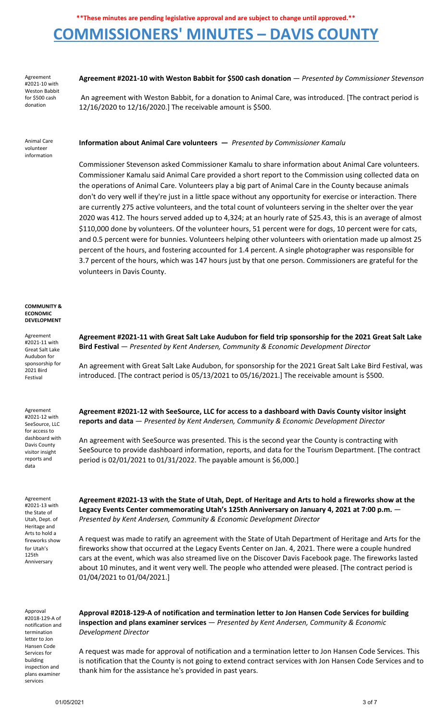# **COMMISSIONERS' MINUTES – DAVIS COUNTY**

Agreement #2021-10 with Weston Babbit for \$500 cash donation

**Agreement #2021-10 with Weston Babbit for \$500 cash donation** — *Presented by Commissioner Stevenson*

An agreement with Weston Babbit, for a donation to Animal Care, was introduced. [The contract period is 12/16/2020 to 12/16/2020.] The receivable amount is \$500.

Animal Care volunteer information

**Information about Animal Care volunteers —** *Presented by Commissioner Kamalu*

Commissioner Stevenson asked Commissioner Kamalu to share information about Animal Care volunteers. Commissioner Kamalu said Animal Care provided a short report to the Commission using collected data on the operations of Animal Care. Volunteers play a big part of Animal Care in the County because animals don't do very well if they're just in a little space without any opportunity for exercise or interaction. There are currently 275 active volunteers, and the total count of volunteers serving in the shelter over the year 2020 was 412. The hours served added up to 4,324; at an hourly rate of \$25.43, this is an average of almost \$110,000 done by volunteers. Of the volunteer hours, 51 percent were for dogs, 10 percent were for cats, and 0.5 percent were for bunnies. Volunteers helping other volunteers with orientation made up almost 25 percent of the hours, and fostering accounted for 1.4 percent. A single photographer was responsible for 3.7 percent of the hours, which was 147 hours just by that one person. Commissioners are grateful for the volunteers in Davis County.

#### **COMMUNITY & ECONOMIC DEVELOPMENT**

Agreement #2021-11 with Great Salt Lake Audubon for sponsorship for 2021 Bird Festival

Agreement #2021-12 with SeeSource, LLC for access to dashboard with Davis County visitor insight reports and data

Agreement #2021-13 with the State of Utah, Dept. of Heritage and Arts to hold a fireworks show for Utah's 125th Anniversary

**Agreement #2021-11 with Great Salt Lake Audubon for field trip sponsorship for the 2021 Great Salt Lake Bird Festival** — *Presented by Kent Andersen, Community & Economic Development Director*

An agreement with Great Salt Lake Audubon, for sponsorship for the 2021 Great Salt Lake Bird Festival, was introduced. [The contract period is 05/13/2021 to 05/16/2021.] The receivable amount is \$500.

**Agreement #2021-12 with SeeSource, LLC for access to a dashboard with Davis County visitor insight reports and data** — *Presented by Kent Andersen, Community & Economic Development Director*

An agreement with SeeSource was presented. This is the second year the County is contracting with SeeSource to provide dashboard information, reports, and data for the Tourism Department. [The contract period is 02/01/2021 to 01/31/2022. The payable amount is \$6,000.]

Agreement #2021-13 with the State of Utah, Dept. of Heritage and Arts to hold a fireworks show at the **Legacy Events Center commemorating Utah's 125th Anniversary on January 4, 2021 at 7:00 p.m.** — *Presented by Kent Andersen, Community & Economic Development Director*

A request was made to ratify an agreement with the State of Utah Department of Heritage and Arts for the fireworks show that occurred at the Legacy Events Center on Jan. 4, 2021. There were a couple hundred cars at the event, which was also streamed live on the Discover Davis Facebook page. The fireworks lasted about 10 minutes, and it went very well. The people who attended were pleased. [The contract period is 01/04/2021 to 01/04/2021.]

Approval #2018-129-A of notification and termination letter to Jon Hansen Code Services for building inspection and plans examiner services

**Approval #2018-129-A of notification and termination letter to Jon Hansen Code Services for building inspection and plans examiner services** — *Presented by Kent Andersen, Community & Economic Development Director*

A request was made for approval of notification and a termination letter to Jon Hansen Code Services. This is notification that the County is not going to extend contract services with Jon Hansen Code Services and to thank him for the assistance he's provided in past years.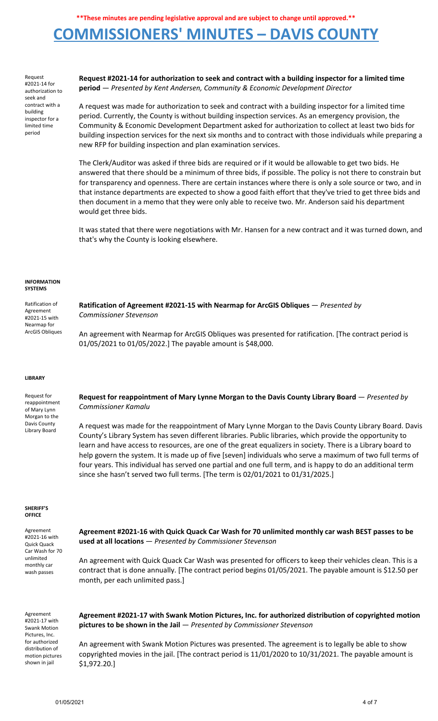# **COMMISSIONERS' MINUTES – DAVIS COUNTY**

Request #2021-14 for authorization to seek and contract with a building inspector for a limited time period

**Request #2021-14 for authorization to seek and contract with a building inspector for a limited time period** — *Presented by Kent Andersen, Community & Economic Development Director*

A request was made for authorization to seek and contract with a building inspector for a limited time period. Currently, the County is without building inspection services. As an emergency provision, the Community & Economic Development Department asked for authorization to collect at least two bids for building inspection services for the next six months and to contract with those individuals while preparing a new RFP for building inspection and plan examination services.

The Clerk/Auditor was asked if three bids are required or if it would be allowable to get two bids. He answered that there should be a minimum of three bids, if possible. The policy is not there to constrain but for transparency and openness. There are certain instances where there is only a sole source or two, and in that instance departments are expected to show a good faith effort that they've tried to get three bids and then document in a memo that they were only able to receive two. Mr. Anderson said his department would get three bids.

It was stated that there were negotiations with Mr. Hansen for a new contract and it was turned down, and that's why the County is looking elsewhere.

#### **INFORMATION SYSTEMS**

Ratification of Agreement #2021-15 with Nearmap for ArcGIS Obliques **Ratification of Agreement #2021-15 with Nearmap for ArcGIS Obliques** — *Presented by Commissioner Stevenson* An agreement with Nearmap for ArcGIS Obliques was presented for ratification. [The contract period is 01/05/2021 to 01/05/2022.] The payable amount is \$48,000.

#### **LIBRARY**

Request for reappointment of Mary Lynn Morgan to the Davis County Library Board **Request for reappointment of Mary Lynne Morgan to the Davis County Library Board** — *Presented by Commissioner Kamalu* A request was made for the reappointment of Mary Lynne Morgan to the Davis County Library Board. Davis County's Library System has seven different libraries. Public libraries, which provide the opportunity to learn and have access to resources, are one of the great equalizers in society. There is a Library board to help govern the system. It is made up of five [seven] individuals who serve a maximum of two full terms of

since she hasn't served two full terms. [The term is 02/01/2021 to 01/31/2025.]

#### **SHERIFF'S OFFICE**

Agreement #2021-16 with Quick Quack Car Wash for 70 unlimited monthly car wash passes

**Agreement #2021-16 with Quick Quack Car Wash for 70 unlimited monthly car wash BEST passes to be used at all locations** — *Presented by Commissioner Stevenson*

four years. This individual has served one partial and one full term, and is happy to do an additional term

An agreement with Quick Quack Car Wash was presented for officers to keep their vehicles clean. This is a contract that is done annually. [The contract period begins 01/05/2021. The payable amount is \$12.50 per month, per each unlimited pass.]

Agreement #2021-17 with Swank Motion Pictures, Inc. for authorized distribution of motion pictures shown in jail

**Agreement #2021-17 with Swank Motion Pictures, Inc. for authorized distribution of copyrighted motion pictures to be shown in the Jail** — *Presented by Commissioner Stevenson*

An agreement with Swank Motion Pictures was presented. The agreement is to legally be able to show copyrighted movies in the jail. [The contract period is 11/01/2020 to 10/31/2021. The payable amount is \$1,972.20.]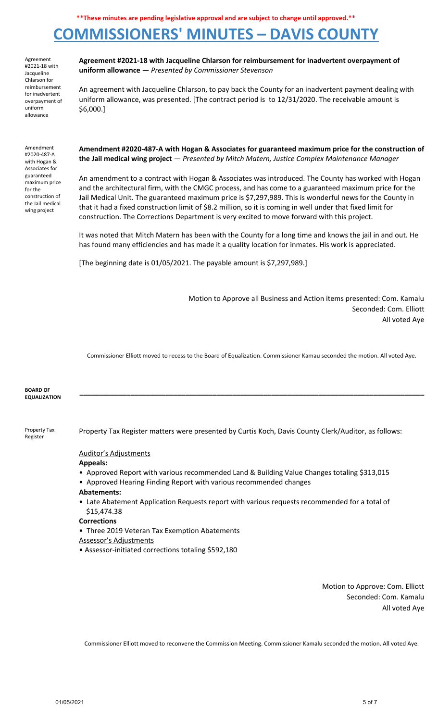# **COMMISSIONERS' MINUTES – DAVIS COUNTY**

Agreement #2021-18 with Jacqueline Chlarson for reimbursement for inadvertent overpayment of uniform allowance

Amendment #2020-487-A with Hogan & Associates for guaranteed maximum price for the construction of the Jail medical wing project

**Agreement #2021-18 with Jacqueline Chlarson for reimbursement for inadvertent overpayment of uniform allowance** — *Presented by Commissioner Stevenson*

An agreement with Jacqueline Chlarson, to pay back the County for an inadvertent payment dealing with uniform allowance, was presented. [The contract period is to 12/31/2020. The receivable amount is \$6,000.]

**Amendment #2020-487-A with Hogan & Associates for guaranteed maximum price for the construction of the Jail medical wing project** — *Presented by Mitch Matern, Justice Complex Maintenance Manager*

An amendment to a contract with Hogan & Associates was introduced. The County has worked with Hogan and the architectural firm, with the CMGC process, and has come to a guaranteed maximum price for the Jail Medical Unit. The guaranteed maximum price is \$7,297,989. This is wonderful news for the County in that it had a fixed construction limit of \$8.2 million, so it is coming in well under that fixed limit for construction. The Corrections Department is very excited to move forward with this project.

It was noted that Mitch Matern has been with the County for a long time and knows the jail in and out. He has found many efficiencies and has made it a quality location for inmates. His work is appreciated.

[The beginning date is 01/05/2021. The payable amount is \$7,297,989.]

Motion to Approve all Business and Action items presented: Com. Kamalu Seconded: Com. Elliott All voted Aye

Commissioner Elliott moved to recess to the Board of Equalization. Commissioner Kamau seconded the motion. All voted Aye.

| <b>BOARD OF</b>     |  |  |  |
|---------------------|--|--|--|
| <b>EQUALIZATION</b> |  |  |  |
|                     |  |  |  |

Property Tax Register

Property Tax Register matters were presented by Curtis Koch, Davis County Clerk/Auditor, as follows:

### Auditor's Adjustments

- **Appeals:**
- Approved Report with various recommended Land & Building Value Changes totaling \$313,015
- Approved Hearing Finding Report with various recommended changes
- **Abatements:**
- Late Abatement Application Requests report with various requests recommended for a total of \$15,474.38
- **Corrections**
- Three 2019 Veteran Tax Exemption Abatements
- Assessor's Adjustments
- Assessor-initiated corrections totaling \$592,180

Motion to Approve: Com. Elliott Seconded: Com. Kamalu All voted Aye

Commissioner Elliott moved to reconvene the Commission Meeting. Commissioner Kamalu seconded the motion. All voted Aye.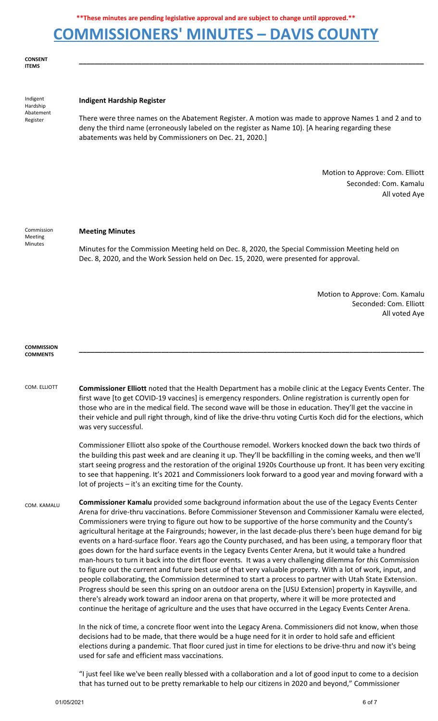## **COMMISSIONERS' MINUTES – DAVIS COUNTY**

**CONSENT ITEMS**

Indigent Hardship Abatement Register

### **Indigent Hardship Register**

There were three names on the Abatement Register. A motion was made to approve Names 1 and 2 and to deny the third name (erroneously labeled on the register as Name 10). [A hearing regarding these abatements was held by Commissioners on Dec. 21, 2020.]

**\_\_\_\_\_\_\_\_\_\_\_\_\_\_\_\_\_\_\_\_\_\_\_\_\_\_\_\_\_\_\_\_\_\_\_\_\_\_\_\_\_\_\_\_\_\_\_\_\_\_\_\_\_\_\_\_\_\_\_\_\_\_\_\_\_\_\_\_\_\_\_\_\_\_\_\_\_\_\_\_\_\_\_\_\_\_\_\_**

Motion to Approve: Com. Elliott Seconded: Com. Kamalu All voted Aye

Commission Meeting Minutes

### **Meeting Minutes**

Minutes for the Commission Meeting held on Dec. 8, 2020, the Special Commission Meeting held on Dec. 8, 2020, and the Work Session held on Dec. 15, 2020, were presented for approval.

> Motion to Approve: Com. Kamalu Seconded: Com. Elliott All voted Aye

#### **COMMISSION COMMENTS**

COM. ELLIOTT **Commissioner Elliott** noted that the Health Department has a mobile clinic at the Legacy Events Center. The first wave [to get COVID-19 vaccines] is emergency responders. Online registration is currently open for those who are in the medical field. The second wave will be those in education. They'll get the vaccine in their vehicle and pull right through, kind of like the drive-thru voting Curtis Koch did for the elections, which was very successful.

> Commissioner Elliott also spoke of the Courthouse remodel. Workers knocked down the back two thirds of the building this past week and are cleaning it up. They'll be backfilling in the coming weeks, and then we'll start seeing progress and the restoration of the original 1920s Courthouse up front. It has been very exciting to see that happening. It's 2021 and Commissioners look forward to a good year and moving forward with a lot of projects – it's an exciting time for the County.

> **\_\_\_\_\_\_\_\_\_\_\_\_\_\_\_\_\_\_\_\_\_\_\_\_\_\_\_\_\_\_\_\_\_\_\_\_\_\_\_\_\_\_\_\_\_\_\_\_\_\_\_\_\_\_\_\_\_\_\_\_\_\_\_\_\_\_\_\_\_\_\_\_\_\_\_\_\_\_\_\_\_\_\_\_\_\_\_\_**

COM. KAMALU **Commissioner Kamalu** provided some background information about the use of the Legacy Events Center Arena for drive-thru vaccinations. Before Commissioner Stevenson and Commissioner Kamalu were elected, Commissioners were trying to figure out how to be supportive of the horse community and the County's agricultural heritage at the Fairgrounds; however, in the last decade-plus there's been huge demand for big events on a hard-surface floor. Years ago the County purchased, and has been using, a temporary floor that goes down for the hard surface events in the Legacy Events Center Arena, but it would take a hundred man-hours to turn it back into the dirt floor events. It was a very challenging dilemma for *this* Commission to figure out the current and future best use of that very valuable property. With a lot of work, input, and people collaborating, the Commission determined to start a process to partner with Utah State Extension. Progress should be seen this spring on an outdoor arena on the [USU Extension] property in Kaysville, and there's already work toward an indoor arena on that property, where it will be more protected and continue the heritage of agriculture and the uses that have occurred in the Legacy Events Center Arena.

> In the nick of time, a concrete floor went into the Legacy Arena. Commissioners did not know, when those decisions had to be made, that there would be a huge need for it in order to hold safe and efficient elections during a pandemic. That floor cured just in time for elections to be drive-thru and now it's being used for safe and efficient mass vaccinations.

> "I just feel like we've been really blessed with a collaboration and a lot of good input to come to a decision that has turned out to be pretty remarkable to help our citizens in 2020 and beyond," Commissioner